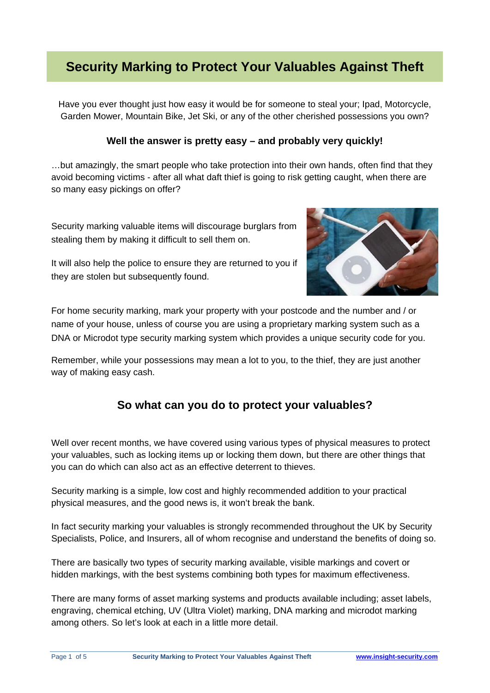# **Security Marking to Protect Your Valuables Against Theft**

Have you ever thought just how easy it would be for someone to steal your; Ipad, Motorcycle, Garden Mower, Mountain Bike, Jet Ski, or any of the other cherished possessions you own?

### **Well the answer is pretty easy – and probably very quickly!**

…but amazingly, the smart people who take protection into their own hands, often find that they avoid becoming victims - after all what daft thief is going to risk getting caught, when there are so many easy pickings on offer?

Security marking valuable items will discourage burglars from stealing them by making it difficult to sell them on.



It will also help the police to ensure they are returned to you if they are stolen but subsequently found.

For home security marking, mark your property with your postcode and the number and / or name of your house, unless of course you are using a proprietary marking system such as a DNA or Microdot type security marking system which provides a unique security code for you.

Remember, while your possessions may mean a lot to you, to the thief, they are just another way of making easy cash.

### **So what can you do to protect your valuables?**

Well over recent months, we have covered using various types of physical measures to protect your valuables, such as locking items up or locking them down, but there are other things that you can do which can also act as an effective deterrent to thieves.

Security marking is a simple, low cost and highly recommended addition to your practical physical measures, and the good news is, it won't break the bank.

In fact security marking your valuables is strongly recommended throughout the UK by Security Specialists, Police, and Insurers, all of whom recognise and understand the benefits of doing so.

There are basically two types of security marking available, visible markings and covert or hidden markings, with the best systems combining both types for maximum effectiveness.

There are many forms of asset marking systems and products available including; asset labels, engraving, chemical etching, UV (Ultra Violet) marking, DNA marking and microdot marking among others. So let's look at each in a little more detail.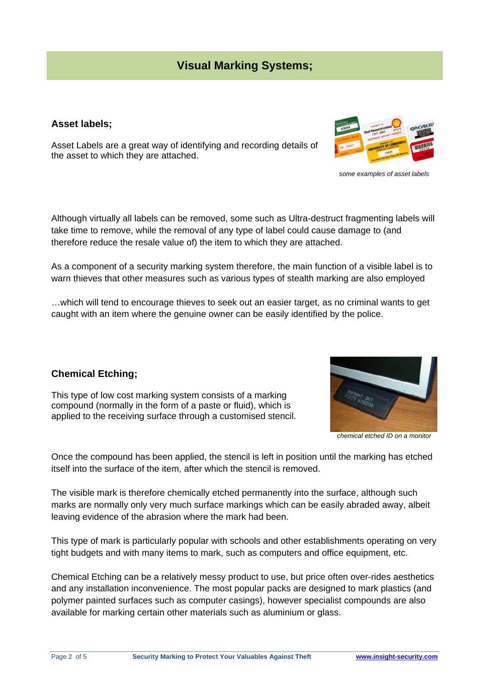### **Visual Marking Systems;**

#### **Asset labels;**

Asset Labels are a great way of identifying and recording details of the asset to which they are attached.

Although virtually all labels can be removed, some such as Ultra-destruct fragmenting labels will take time to remove, while the removal of any type of label could cause damage to (and therefore reduce the resale value of) the item to which they are attached.

As a component of a security marking system therefore, the main function of a visible label is to warn thieves that other measures such as various types of stealth marking are also employed

…which will tend to encourage thieves to seek out an easier target, as no criminal wants to get caught with an item where the genuine owner can be easily identified by the police.

### **Chemical Etching;**

This type of low cost marking system consists of a marking compound (normally in the form of a paste or fluid), which is applied to the receiving surface through a customised stencil.

Once the compound has been applied, the stencil is left in position until the marking has etched

itself into the surface of the item, after which the stencil is removed.

The visible mark is therefore chemically etched permanently into the surface, although such marks are normally only very much surface markings which can be easily abraded away, albeit leaving evidence of the abrasion where the mark had been.

This type of mark is particularly popular with schools and other establishments operating on very tight budgets and with many items to mark, such as computers and office equipment, etc.

Chemical Etching can be a relatively messy product to use, but price often over-rides aesthetics and any installation inconvenience. The most popular packs are designed to mark plastics (and polymer painted surfaces such as computer casings), however specialist compounds are also available for marking certain other materials such as aluminium or glass.



*some examples of asset labels* 

*chemical etched ID on a monitor*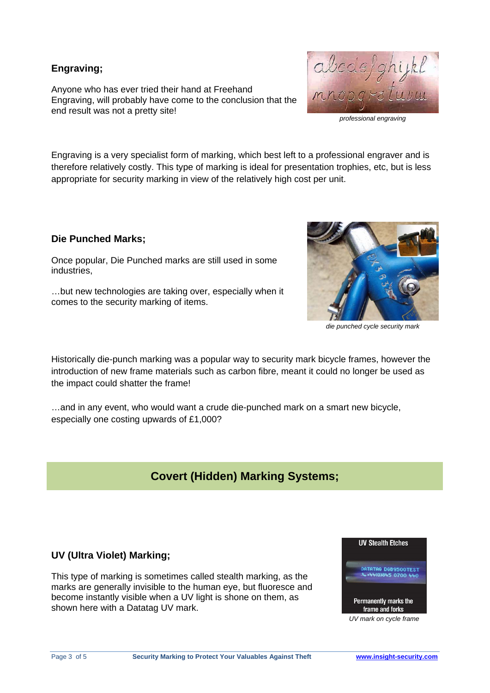### **Engraving;**

Anyone who has ever tried their hand at Freehand Engraving, will probably have come to the conclusion that the end result was not a pretty site!



*professional engraving* 

Engraving is a very specialist form of marking, which best left to a professional engraver and is therefore relatively costly. This type of marking is ideal for presentation trophies, etc, but is less appropriate for security marking in view of the relatively high cost per unit.

### **Die Punched Marks;**

Once popular, Die Punched marks are still used in some industries,

…but new technologies are taking over, especially when it comes to the security marking of items.



*die punched cycle security mark* 

Historically die-punch marking was a popular way to security mark bicycle frames, however the introduction of new frame materials such as carbon fibre, meant it could no longer be used as the impact could shatter the frame!

…and in any event, who would want a crude die-punched mark on a smart new bicycle, especially one costing upwards of £1,000?

## **Covert (Hidden) Marking Systems;**

### **UV (Ultra Violet) Marking;**

This type of marking is sometimes called stealth marking, as the marks are generally invisible to the human eye, but fluoresce and become instantly visible when a UV light is shone on them, as shown here with a Datatag UV mark.



*UV mark on cycle frame*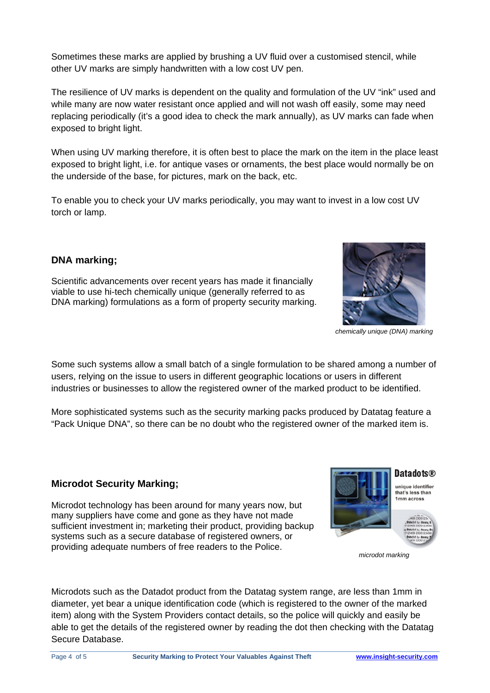Sometimes these marks are applied by brushing a UV fluid over a customised stencil, while other UV marks are simply handwritten with a low cost UV pen.

The resilience of UV marks is dependent on the quality and formulation of the UV "ink" used and while many are now water resistant once applied and will not wash off easily, some may need replacing periodically (it's a good idea to check the mark annually), as UV marks can fade when exposed to bright light.

When using UV marking therefore, it is often best to place the mark on the item in the place least exposed to bright light, i.e. for antique vases or ornaments, the best place would normally be on the underside of the base, for pictures, mark on the back, etc.

To enable you to check your UV marks periodically, you may want to invest in a low cost UV torch or lamp.

### **DNA marking;**

Scientific advancements over recent years has made it financially viable to use hi-tech chemically unique (generally referred to as DNA marking) formulations as a form of property security marking.

Some such systems allow a small batch of a single formulation to be shared among a number of users, relying on the issue to users in different geographic locations or users in different industries or businesses to allow the registered owner of the marked product to be identified.

More sophisticated systems such as the security marking packs produced by Datatag feature a "Pack Unique DNA", so there can be no doubt who the registered owner of the marked item is.

### **Microdot Security Marking;**

Microdot technology has been around for many years now, but many suppliers have come and gone as they have not made sufficient investment in; marketing their product, providing backup systems such as a secure database of registered owners, or providing adequate numbers of free readers to the Police.

Microdots such as the Datadot product from the Datatag system range, are less than 1mm in diameter, yet bear a unique identification code (which is registered to the owner of the marked item) along with the System Providers contact details, so the police will quickly and easily be able to get the details of the registered owner by reading the dot then checking with the Datatag Secure Database.





*chemically unique (DNA) marking*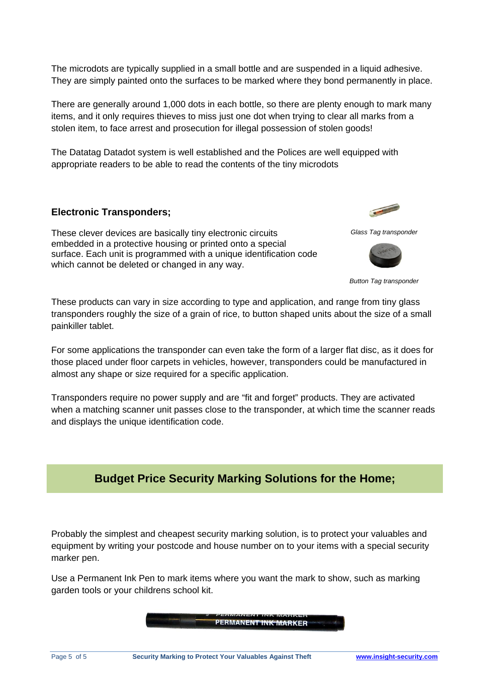The microdots are typically supplied in a small bottle and are suspended in a liquid adhesive. They are simply painted onto the surfaces to be marked where they bond permanently in place.

There are generally around 1,000 dots in each bottle, so there are plenty enough to mark many items, and it only requires thieves to miss just one dot when trying to clear all marks from a stolen item, to face arrest and prosecution for illegal possession of stolen goods!

The Datatag Datadot system is well established and the Polices are well equipped with appropriate readers to be able to read the contents of the tiny microdots

#### **Electronic Transponders;**

These clever devices are basically tiny electronic circuits embedded in a protective housing or printed onto a special surface. Each unit is programmed with a unique identification code which cannot be deleted or changed in any way.

*Glass Tag transponder*

**Change of Concession, Name of Street, Toronto, The Concession, The Concession, The Concession, The Concession, The Concession, The Concession, The Concession, The Concession, The Concession, The Concession, The Concession** 



*Button Tag transponder* 

These products can vary in size according to type and application, and range from tiny glass transponders roughly the size of a grain of rice, to button shaped units about the size of a small painkiller tablet.

For some applications the transponder can even take the form of a larger flat disc, as it does for those placed under floor carpets in vehicles, however, transponders could be manufactured in almost any shape or size required for a specific application.

Transponders require no power supply and are "fit and forget" products. They are activated when a matching scanner unit passes close to the transponder, at which time the scanner reads and displays the unique identification code.

### **Budget Price Security Marking Solutions for the Home;**

Probably the simplest and cheapest security marking solution, is to protect your valuables and equipment by writing your postcode and house number on to your items with a special security marker pen.

Use a Permanent Ink Pen to mark items where you want the mark to show, such as marking garden tools or your childrens school kit.

PERMANENT INK MARKER